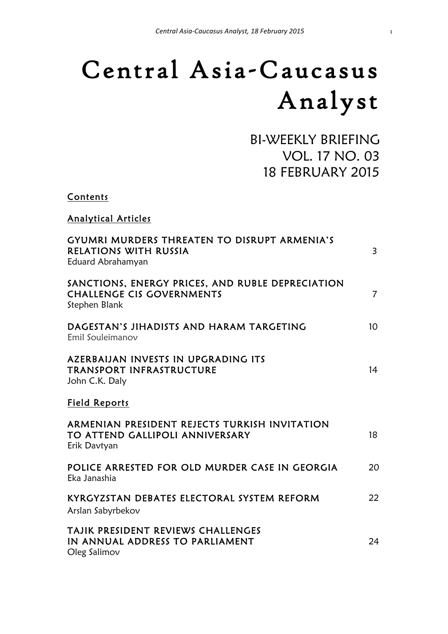# Central Asia-Caucasus Analyst

BI-WEEKLY BRIEFING VOL. 17 NO. 03 <sup>18</sup> FEBRUARY 2015

**Contents** 

| <b>Analytical Articles</b>                                                                               |                 |
|----------------------------------------------------------------------------------------------------------|-----------------|
| <b>GYUMRI MURDERS THREATEN TO DISRUPT ARMENIA'S</b><br><b>RELATIONS WITH RUSSIA</b><br>Eduard Abrahamyan | $\overline{3}$  |
| SANCTIONS, ENERGY PRICES, AND RUBLE DEPRECIATION<br><b>CHALLENGE CIS GOVERNMENTS</b><br>Stephen Blank    | $\overline{7}$  |
| DAGESTAN'S JIHADISTS AND HARAM TARGETING<br>Emil Souleimanov                                             | 10 <sup>°</sup> |
| <b>AZERBAIJAN INVESTS IN UPGRADING ITS</b><br>TRANSPORT INFRASTRUCTURE<br>John C.K. Daly                 | 14              |
| <b>Field Reports</b>                                                                                     |                 |
| ARMENIAN PRESIDENT REJECTS TURKISH INVITATION<br>TO ATTEND GALLIPOLI ANNIVERSARY<br>Erik Davtyan         | 18              |
| POLICE ARRESTED FOR OLD MURDER CASE IN GEORGIA<br>Eka Janashia                                           | 20              |
| KYRGYZSTAN DEBATES ELECTORAL SYSTEM REFORM<br>Arslan Sabyrbekov                                          | 22              |
| <b>TAJIK PRESIDENT REVIEWS CHALLENGES</b><br>IN ANNUAL ADDRESS TO PARLIAMENT<br>Oleg Salimov             | 24              |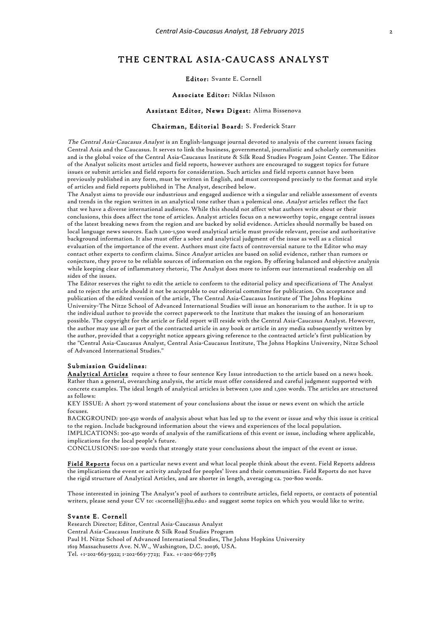### THE CENTRAL ASIA-CAUCASS ANALYST

### Editor: Svante E. Cornell

#### Associate Editor: Niklas Nilsson

### Assistant Editor, News Digest: Alima Bissenova

#### Chairman, Editorial Board: S. Frederick Starr

The Central Asia-Caucasus Analyst is an English-language journal devoted to analysis of the current issues facing Central Asia and the Caucasus. It serves to link the business, governmental, journalistic and scholarly communities and is the global voice of the Central Asia-Caucasus Institute & Silk Road Studies Program Joint Center. The Editor of the Analyst solicits most articles and field reports, however authors are encouraged to suggest topics for future issues or submit articles and field reports for consideration. Such articles and field reports cannot have been previously published in any form, must be written in English, and must correspond precisely to the format and style of articles and field reports published in The Analyst, described below.

The Analyst aims to provide our industrious and engaged audience with a singular and reliable assessment of events and trends in the region written in an analytical tone rather than a polemical one. Analyst articles reflect the fact that we have a diverse international audience. While this should not affect what authors write about or their conclusions, this does affect the tone of articles. Analyst articles focus on a newsworthy topic, engage central issues of the latest breaking news from the region and are backed by solid evidence. Articles should normally be based on local language news sources. Each 1,100-1,500 word analytical article must provide relevant, precise and authoritative background information. It also must offer a sober and analytical judgment of the issue as well as a clinical evaluation of the importance of the event. Authors must cite facts of controversial nature to the Editor who may contact other experts to confirm claims. Since Analyst articles are based on solid evidence, rather than rumors or conjecture, they prove to be reliable sources of information on the region. By offering balanced and objective analysis while keeping clear of inflammatory rhetoric, The Analyst does more to inform our international readership on all sides of the issues.

The Editor reserves the right to edit the article to conform to the editorial policy and specifications of The Analyst and to reject the article should it not be acceptable to our editorial committee for publication. On acceptance and publication of the edited version of the article, The Central Asia-Caucasus Institute of The Johns Hopkins University-The Nitze School of Advanced International Studies will issue an honorarium to the author. It is up to the individual author to provide the correct paperwork to the Institute that makes the issuing of an honorarium possible. The copyright for the article or field report will reside with the Central Asia-Caucasus Analyst. However, the author may use all or part of the contracted article in any book or article in any media subsequently written by the author, provided that a copyright notice appears giving reference to the contracted article's first publication by the "Central Asia-Caucasus Analyst, Central Asia-Caucasus Institute, The Johns Hopkins University, Nitze School of Advanced International Studies."

### Submission Guidelines:

Analytical Articles require a three to four sentence Key Issue introduction to the article based on a news hook. Rather than a general, overarching analysis, the article must offer considered and careful judgment supported with concrete examples. The ideal length of analytical articles is between 1,100 and 1,500 words. The articles are structured as follows:

KEY ISSUE: A short 75-word statement of your conclusions about the issue or news event on which the article focuses.

BACKGROUND: 300-450 words of analysis about what has led up to the event or issue and why this issue is critical to the region. Include background information about the views and experiences of the local population. IMPLICATIONS: 300-450 words of analysis of the ramifications of this event or issue, including where applicable, implications for the local people's future.

CONCLUSIONS: 100-200 words that strongly state your conclusions about the impact of the event or issue.

Field Reports focus on a particular news event and what local people think about the event. Field Reports address the implications the event or activity analyzed for peoples' lives and their communities. Field Reports do not have the rigid structure of Analytical Articles, and are shorter in length, averaging ca. 700-800 words.

Those interested in joining The Analyst's pool of authors to contribute articles, field reports, or contacts of potential writers, please send your CV to: <scornell@jhu.edu> and suggest some topics on which you would like to write.

#### Svante E. Cornell

Research Director; Editor, Central Asia-Caucasus Analyst Central Asia-Caucasus Institute & Silk Road Studies Program Paul H. Nitze School of Advanced International Studies, The Johns Hopkins University 1619 Massachusetts Ave. N.W., Washington, D.C. 20036, USA. Tel. +1-202-663-5922; 1-202-663-7723; Fax. +1-202-663-7785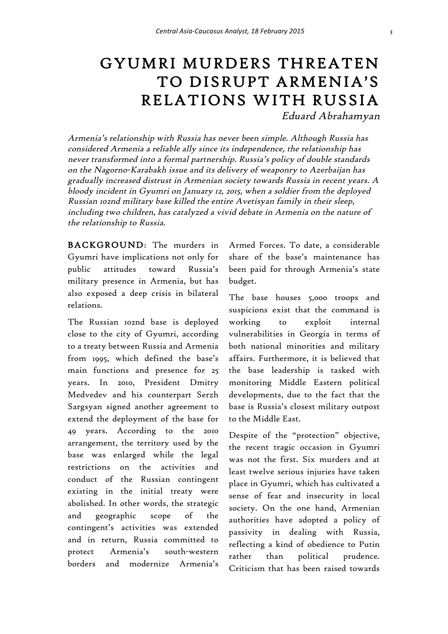# GYUMRI MURDERS THREATEN TO DISRUPT ARMENIA'S RELATIONS WITH RUSSIA

Eduard Abrahamyan

Armenia's relationship with Russia has never been simple. Although Russia has considered Armenia a reliable ally since its independence, the relationship has never transformed into a formal partnership. Russia's policy of double standards on the Nagorno-Karabakh issue and its delivery of weaponry to Azerbaijan has gradually increased distrust in Armenian society towards Russia in recent years. A bloody incident in Gyumri on January 12, 2015, when a soldier from the deployed Russian 102nd military base killed the entire Avetisyan family in their sleep, including two children, has catalyzed a vivid debate in Armenia on the nature of the relationship to Russia.

BACKGROUND: The murders in Gyumri have implications not only for public attitudes toward Russia's military presence in Armenia, but has also exposed a deep crisis in bilateral relations.

The Russian 102nd base is deployed close to the city of Gyumri, according to a treaty between Russia and Armenia from 1995, which defined the base's main functions and presence for 25 years. In 2010, President Dmitry Medvedev and his counterpart Serzh Sargsyan signed another agreement to extend the deployment of the base for 49 years. According to the 2010 arrangement, the territory used by the base was enlarged while the legal restrictions on the activities and conduct of the Russian contingent existing in the initial treaty were abolished. In other words, the strategic and geographic scope of the contingent's activities was extended and in return, Russia committed to protect Armenia's south-western borders and modernize Armenia's

Armed Forces. To date, a considerable share of the base's maintenance has been paid for through Armenia's state budget.

The base houses 5,000 troops and suspicions exist that the command is working to exploit internal vulnerabilities in Georgia in terms of both national minorities and military affairs. Furthermore, it is believed that the base leadership is tasked with monitoring Middle Eastern political developments, due to the fact that the base is Russia's closest military outpost to the Middle East.

Despite of the "protection" objective, the recent tragic occasion in Gyumri was not the first. Six murders and at least twelve serious injuries have taken place in Gyumri, which has cultivated a sense of fear and insecurity in local society. On the one hand, Armenian authorities have adopted a policy of passivity in dealing with Russia, reflecting a kind of obedience to Putin rather than political prudence. Criticism that has been raised towards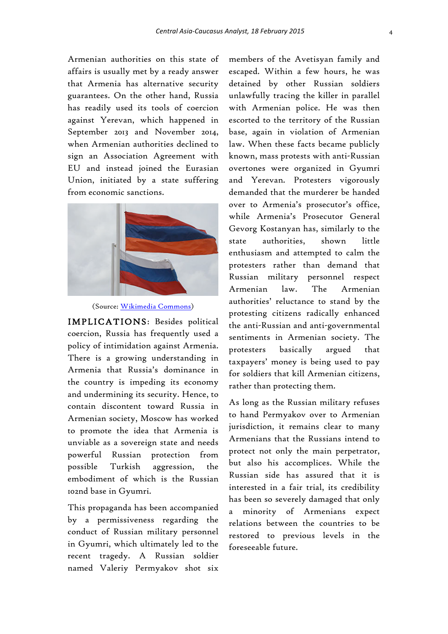Armenian authorities on this state of affairs is usually met by a ready answer that Armenia has alternative security guarantees. On the other hand, Russia has readily used its tools of coercion against Yerevan, which happened in September 2013 and November 2014, when Armenian authorities declined to sign an Association Agreement with EU and instead joined the Eurasian Union, initiated by a state suffering from economic sanctions.



(Source: Wikimedia Commons)

IMPLICATIONS: Besides political coercion, Russia has frequently used a policy of intimidation against Armenia. There is a growing understanding in Armenia that Russia's dominance in the country is impeding its economy and undermining its security. Hence, to contain discontent toward Russia in Armenian society, Moscow has worked to promote the idea that Armenia is unviable as a sovereign state and needs powerful Russian protection from possible Turkish aggression, the embodiment of which is the Russian 102nd base in Gyumri.

This propaganda has been accompanied by a permissiveness regarding the conduct of Russian military personnel in Gyumri, which ultimately led to the recent tragedy. A Russian soldier named Valeriy Permyakov shot six

members of the Avetisyan family and escaped. Within a few hours, he was detained by other Russian soldiers unlawfully tracing the killer in parallel with Armenian police. He was then escorted to the territory of the Russian base, again in violation of Armenian law. When these facts became publicly known, mass protests with anti-Russian overtones were organized in Gyumri and Yerevan. Protesters vigorously demanded that the murderer be handed over to Armenia's prosecutor's office, while Armenia's Prosecutor General Gevorg Kostanyan has, similarly to the state authorities, shown little enthusiasm and attempted to calm the protesters rather than demand that Russian military personnel respect Armenian law. The Armenian authorities' reluctance to stand by the protesting citizens radically enhanced the anti-Russian and anti-governmental sentiments in Armenian society. The protesters basically argued that taxpayers' money is being used to pay for soldiers that kill Armenian citizens, rather than protecting them.

As long as the Russian military refuses to hand Permyakov over to Armenian jurisdiction, it remains clear to many Armenians that the Russians intend to protect not only the main perpetrator, but also his accomplices. While the Russian side has assured that it is interested in a fair trial, its credibility has been so severely damaged that only a minority of Armenians expect relations between the countries to be restored to previous levels in the foreseeable future.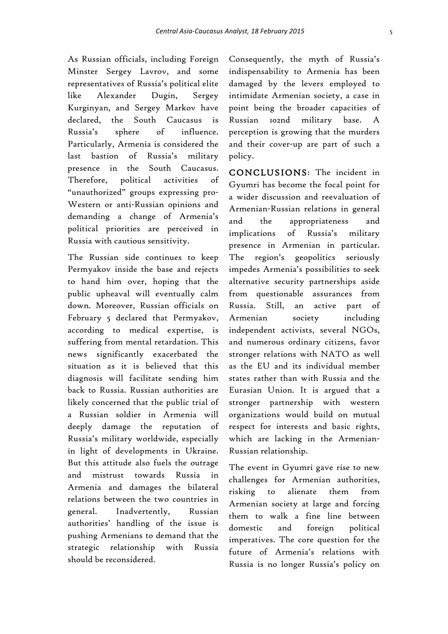As Russian officials, including Foreign Minster Sergey Lavrov, and some representatives of Russia's political elite like Alexander Dugin, Sergey Kurginyan, and Sergey Markov have declared, the South Caucasus is Russia's sphere of influence. Particularly, Armenia is considered the last bastion of Russia's military presence in the South Caucasus. Therefore, political activities of "unauthorized" groups expressing pro-Western or anti-Russian opinions and demanding a change of Armenia's political priorities are perceived in Russia with cautious sensitivity.

The Russian side continues to keep Permyakov inside the base and rejects to hand him over, hoping that the public upheaval will eventually calm down. Moreover, Russian officials on February 5 declared that Permyakov, according to medical expertise, is suffering from mental retardation. This news significantly exacerbated the situation as it is believed that this diagnosis will facilitate sending him back to Russia. Russian authorities are likely concerned that the public trial of a Russian soldier in Armenia will deeply damage the reputation of Russia's military worldwide, especially in light of developments in Ukraine. But this attitude also fuels the outrage and mistrust towards Russia in Armenia and damages the bilateral relations between the two countries in general. Inadvertently, Russian authorities' handling of the issue is pushing Armenians to demand that the strategic relationship with Russia should be reconsidered.

Consequently, the myth of Russia's indispensability to Armenia has been damaged by the levers employed to intimidate Armenian society, a case in point being the broader capacities of Russian 102nd military base. A perception is growing that the murders and their cover-up are part of such a policy.

CONCLUSIONS: The incident in Gyumri has become the focal point for a wider discussion and reevaluation of Armenian-Russian relations in general and the appropriateness and implications of Russia's military presence in Armenian in particular. The region's geopolitics seriously impedes Armenia's possibilities to seek alternative security partnerships aside from questionable assurances from Russia. Still, an active part of Armenian society including independent activists, several NGOs, and numerous ordinary citizens, favor stronger relations with NATO as well as the EU and its individual member states rather than with Russia and the Eurasian Union. It is argued that a stronger partnership with western organizations would build on mutual respect for interests and basic rights, which are lacking in the Armenian-Russian relationship.

The event in Gyumri gave rise to new challenges for Armenian authorities, risking to alienate them from Armenian society at large and forcing them to walk a fine line between domestic and foreign political imperatives. The core question for the future of Armenia's relations with Russia is no longer Russia's policy on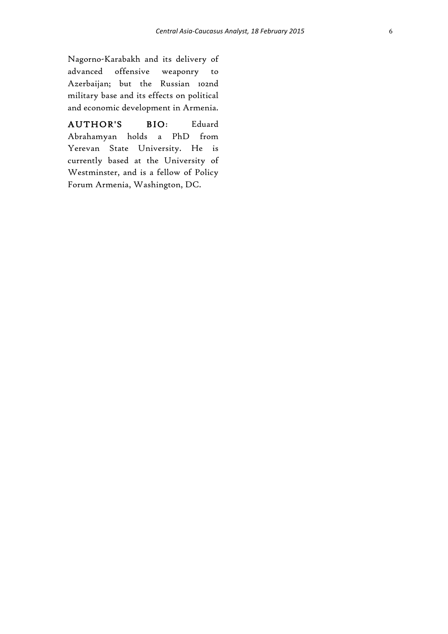Nagorno-Karabakh and its delivery of advanced offensive weaponry to Azerbaijan; but the Russian 102nd military base and its effects on political and economic development in Armenia.

AUTHOR'S BIO: Eduard Abrahamyan holds a PhD from Yerevan State University. He is currently based at the University of Westminster, and is a fellow of Policy Forum Armenia, Washington, DC.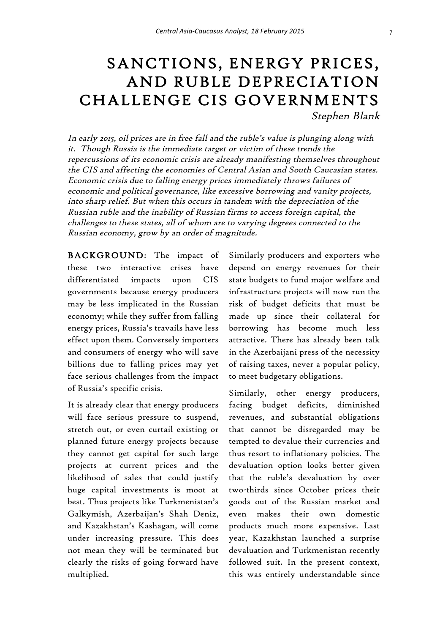# SANCTIONS, ENERGY PRICES, AND RUBLE DEPRECIATION CHALLENGE CIS GOVERNMENTS Stephen Blank

In early 2015, oil prices are in free fall and the ruble's value is plunging along with it. Though Russia is the immediate target or victim of these trends the repercussions of its economic crisis are already manifesting themselves throughout the CIS and affecting the economies of Central Asian and South Caucasian states. Economic crisis due to falling energy prices immediately throws failures of economic and political governance, like excessive borrowing and vanity projects, into sharp relief. But when this occurs in tandem with the depreciation of the Russian ruble and the inability of Russian firms to access foreign capital, the challenges to these states, all of whom are to varying degrees connected to the Russian economy, grow by an order of magnitude.

BACKGROUND: The impact of these two interactive crises have differentiated impacts upon CIS governments because energy producers may be less implicated in the Russian economy; while they suffer from falling energy prices, Russia's travails have less effect upon them. Conversely importers and consumers of energy who will save billions due to falling prices may yet face serious challenges from the impact of Russia's specific crisis.

It is already clear that energy producers will face serious pressure to suspend, stretch out, or even curtail existing or planned future energy projects because they cannot get capital for such large projects at current prices and the likelihood of sales that could justify huge capital investments is moot at best. Thus projects like Turkmenistan's Galkymish, Azerbaijan's Shah Deniz, and Kazakhstan's Kashagan, will come under increasing pressure. This does not mean they will be terminated but clearly the risks of going forward have multiplied.

Similarly producers and exporters who depend on energy revenues for their state budgets to fund major welfare and infrastructure projects will now run the risk of budget deficits that must be made up since their collateral for borrowing has become much less attractive. There has already been talk in the Azerbaijani press of the necessity of raising taxes, never a popular policy, to meet budgetary obligations.

Similarly, other energy producers, facing budget deficits, diminished revenues, and substantial obligations that cannot be disregarded may be tempted to devalue their currencies and thus resort to inflationary policies. The devaluation option looks better given that the ruble's devaluation by over two-thirds since October prices their goods out of the Russian market and even makes their own domestic products much more expensive. Last year, Kazakhstan launched a surprise devaluation and Turkmenistan recently followed suit. In the present context, this was entirely understandable since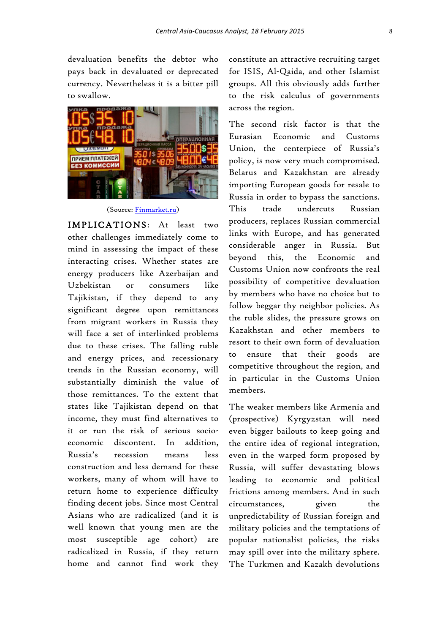devaluation benefits the debtor who pays back in devaluated or deprecated currency. Nevertheless it is a bitter pill to swallow.



(Source: Finmarket.ru)

IMPLICATIONS: At least two other challenges immediately come to mind in assessing the impact of these interacting crises. Whether states are energy producers like Azerbaijan and Uzbekistan or consumers like Tajikistan, if they depend to any significant degree upon remittances from migrant workers in Russia they will face a set of interlinked problems due to these crises. The falling ruble and energy prices, and recessionary trends in the Russian economy, will substantially diminish the value of those remittances. To the extent that states like Tajikistan depend on that income, they must find alternatives to it or run the risk of serious socioeconomic discontent. In addition, Russia's recession means less construction and less demand for these workers, many of whom will have to return home to experience difficulty finding decent jobs. Since most Central Asians who are radicalized (and it is well known that young men are the most susceptible age cohort) are radicalized in Russia, if they return home and cannot find work they

constitute an attractive recruiting target for ISIS, Al-Qaida, and other Islamist groups. All this obviously adds further to the risk calculus of governments across the region.

The second risk factor is that the Eurasian Economic and Customs Union, the centerpiece of Russia's policy, is now very much compromised. Belarus and Kazakhstan are already importing European goods for resale to Russia in order to bypass the sanctions. This trade undercuts Russian producers, replaces Russian commercial links with Europe, and has generated considerable anger in Russia. But beyond this, the Economic and Customs Union now confronts the real possibility of competitive devaluation by members who have no choice but to follow beggar thy neighbor policies. As the ruble slides, the pressure grows on Kazakhstan and other members to resort to their own form of devaluation to ensure that their goods are competitive throughout the region, and in particular in the Customs Union members.

The weaker members like Armenia and (prospective) Kyrgyzstan will need even bigger bailouts to keep going and the entire idea of regional integration, even in the warped form proposed by Russia, will suffer devastating blows leading to economic and political frictions among members. And in such circumstances, given the unpredictability of Russian foreign and military policies and the temptations of popular nationalist policies, the risks may spill over into the military sphere. The Turkmen and Kazakh devolutions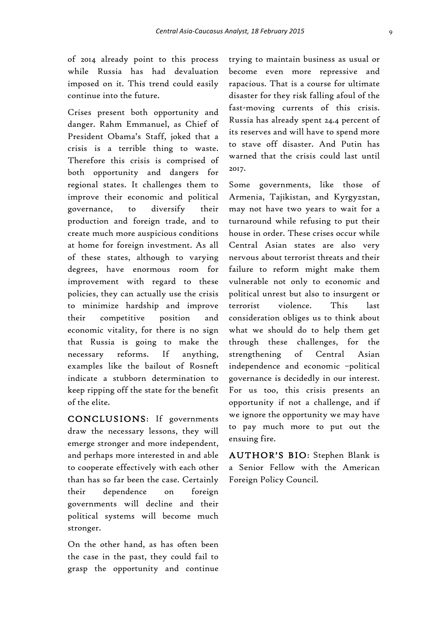of 2014 already point to this process while Russia has had devaluation imposed on it. This trend could easily continue into the future.

Crises present both opportunity and danger. Rahm Emmanuel, as Chief of President Obama's Staff, joked that a crisis is a terrible thing to waste. Therefore this crisis is comprised of both opportunity and dangers for regional states. It challenges them to improve their economic and political governance, to diversify their production and foreign trade, and to create much more auspicious conditions at home for foreign investment. As all of these states, although to varying degrees, have enormous room for improvement with regard to these policies, they can actually use the crisis to minimize hardship and improve their competitive position and economic vitality, for there is no sign that Russia is going to make the necessary reforms. If anything, examples like the bailout of Rosneft indicate a stubborn determination to keep ripping off the state for the benefit of the elite.

CONCLUSIONS: If governments draw the necessary lessons, they will emerge stronger and more independent, and perhaps more interested in and able to cooperate effectively with each other than has so far been the case. Certainly their dependence on foreign governments will decline and their political systems will become much stronger.

On the other hand, as has often been the case in the past, they could fail to grasp the opportunity and continue trying to maintain business as usual or become even more repressive and rapacious. That is a course for ultimate disaster for they risk falling afoul of the fast-moving currents of this crisis. Russia has already spent 24.4 percent of its reserves and will have to spend more to stave off disaster. And Putin has warned that the crisis could last until 2017.

Some governments, like those of Armenia, Tajikistan, and Kyrgyzstan, may not have two years to wait for a turnaround while refusing to put their house in order. These crises occur while Central Asian states are also very nervous about terrorist threats and their failure to reform might make them vulnerable not only to economic and political unrest but also to insurgent or terrorist violence. This last consideration obliges us to think about what we should do to help them get through these challenges, for the strengthening of Central Asian independence and economic –political governance is decidedly in our interest. For us too, this crisis presents an opportunity if not a challenge, and if we ignore the opportunity we may have to pay much more to put out the ensuing fire.

AUTHOR'S BIO: Stephen Blank is a Senior Fellow with the American Foreign Policy Council.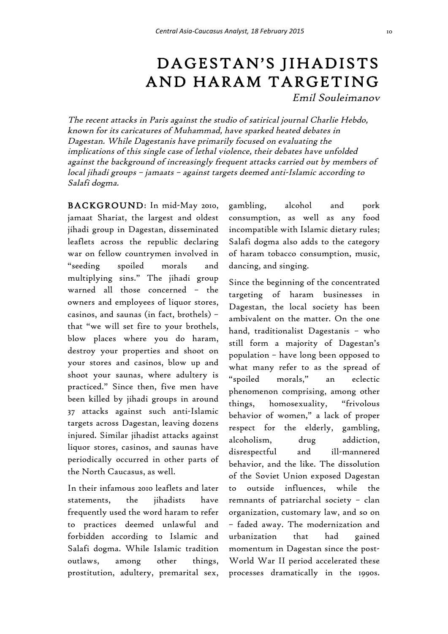# DAGESTAN'S JIHADISTS AND HARAM TARGETING

Emil Souleimanov

The recent attacks in Paris against the studio of satirical journal Charlie Hebdo, known for its caricatures of Muhammad, have sparked heated debates in Dagestan. While Dagestanis have primarily focused on evaluating the implications of this single case of lethal violence, their debates have unfolded against the background of increasingly frequent attacks carried out by members of local jihadi groups – jamaats – against targets deemed anti-Islamic according to Salafi dogma.

BACKGROUND: In mid-May 2010, jamaat Shariat, the largest and oldest jihadi group in Dagestan, disseminated leaflets across the republic declaring war on fellow countrymen involved in "seeding spoiled morals and multiplying sins." The jihadi group warned all those concerned – the owners and employees of liquor stores, casinos, and saunas (in fact, brothels) – that "we will set fire to your brothels, blow places where you do haram, destroy your properties and shoot on your stores and casinos, blow up and shoot your saunas, where adultery is practiced." Since then, five men have been killed by jihadi groups in around 37 attacks against such anti-Islamic targets across Dagestan, leaving dozens injured. Similar jihadist attacks against liquor stores, casinos, and saunas have periodically occurred in other parts of the North Caucasus, as well.

In their infamous 2010 leaflets and later statements, the jihadists have frequently used the word haram to refer to practices deemed unlawful and forbidden according to Islamic and Salafi dogma. While Islamic tradition outlaws, among other things, prostitution, adultery, premarital sex,

gambling, alcohol and pork consumption, as well as any food incompatible with Islamic dietary rules; Salafi dogma also adds to the category of haram tobacco consumption, music, dancing, and singing.

Since the beginning of the concentrated targeting of haram businesses in Dagestan, the local society has been ambivalent on the matter. On the one hand, traditionalist Dagestanis – who still form a majority of Dagestan's population – have long been opposed to what many refer to as the spread of "spoiled morals," an eclectic phenomenon comprising, among other things, homosexuality, "frivolous behavior of women," a lack of proper respect for the elderly, gambling, alcoholism, drug addiction, disrespectful and ill-mannered behavior, and the like. The dissolution of the Soviet Union exposed Dagestan to outside influences, while the remnants of patriarchal society – clan organization, customary law, and so on – faded away. The modernization and urbanization that had gained momentum in Dagestan since the post-World War II period accelerated these processes dramatically in the 1990s.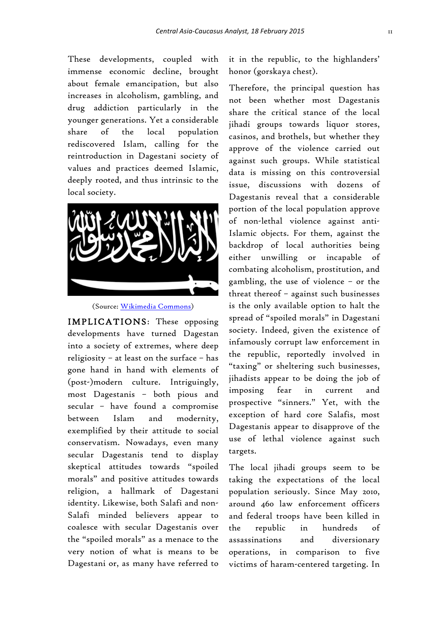These developments, coupled with immense economic decline, brought about female emancipation, but also increases in alcoholism, gambling, and drug addiction particularly in the younger generations. Yet a considerable share of the local population rediscovered Islam, calling for the reintroduction in Dagestani society of values and practices deemed Islamic, deeply rooted, and thus intrinsic to the local society.



(Source: Wikimedia Commons)

IMPLICATIONS: These opposing developments have turned Dagestan into a society of extremes, where deep religiosity – at least on the surface – has gone hand in hand with elements of (post-)modern culture. Intriguingly, most Dagestanis – both pious and secular – have found a compromise between Islam and modernity, exemplified by their attitude to social conservatism. Nowadays, even many secular Dagestanis tend to display skeptical attitudes towards "spoiled morals" and positive attitudes towards religion, a hallmark of Dagestani identity. Likewise, both Salafi and non-Salafi minded believers appear to coalesce with secular Dagestanis over the "spoiled morals" as a menace to the very notion of what is means to be Dagestani or, as many have referred to it in the republic, to the highlanders' honor (gorskaya chest).

Therefore, the principal question has not been whether most Dagestanis share the critical stance of the local jihadi groups towards liquor stores, casinos, and brothels, but whether they approve of the violence carried out against such groups. While statistical data is missing on this controversial issue, discussions with dozens of Dagestanis reveal that a considerable portion of the local population approve of non-lethal violence against anti-Islamic objects. For them, against the backdrop of local authorities being either unwilling or incapable of combating alcoholism, prostitution, and gambling, the use of violence – or the threat thereof – against such businesses is the only available option to halt the spread of "spoiled morals" in Dagestani society. Indeed, given the existence of infamously corrupt law enforcement in the republic, reportedly involved in "taxing" or sheltering such businesses, jihadists appear to be doing the job of imposing fear in current and prospective "sinners." Yet, with the exception of hard core Salafis, most Dagestanis appear to disapprove of the use of lethal violence against such targets.

The local jihadi groups seem to be taking the expectations of the local population seriously. Since May 2010, around 460 law enforcement officers and federal troops have been killed in the republic in hundreds of assassinations and diversionary operations, in comparison to five victims of haram-centered targeting. In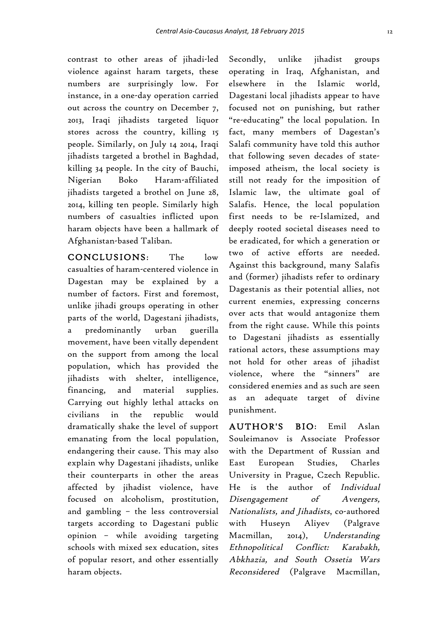contrast to other areas of jihadi-led violence against haram targets, these numbers are surprisingly low. For instance, in a one-day operation carried out across the country on December 7, 2013, Iraqi jihadists targeted liquor stores across the country, killing 15 people. Similarly, on July 14 2014, Iraqi jihadists targeted a brothel in Baghdad, killing 34 people. In the city of Bauchi, Nigerian Boko Haram-affiliated jihadists targeted a brothel on June 28, 2014, killing ten people. Similarly high numbers of casualties inflicted upon haram objects have been a hallmark of Afghanistan-based Taliban.

CONCLUSIONS: The low casualties of haram-centered violence in Dagestan may be explained by a number of factors. First and foremost, unlike jihadi groups operating in other parts of the world, Dagestani jihadists, a predominantly urban guerilla movement, have been vitally dependent on the support from among the local population, which has provided the jihadists with shelter, intelligence, financing, and material supplies. Carrying out highly lethal attacks on civilians in the republic would dramatically shake the level of support emanating from the local population, endangering their cause. This may also explain why Dagestani jihadists, unlike their counterparts in other the areas affected by jihadist violence, have focused on alcoholism, prostitution, and gambling – the less controversial targets according to Dagestani public opinion – while avoiding targeting schools with mixed sex education, sites of popular resort, and other essentially haram objects.

Secondly, unlike jihadist groups operating in Iraq, Afghanistan, and elsewhere in the Islamic world, Dagestani local jihadists appear to have focused not on punishing, but rather "re-educating" the local population. In fact, many members of Dagestan's Salafi community have told this author that following seven decades of stateimposed atheism, the local society is still not ready for the imposition of Islamic law, the ultimate goal of Salafis. Hence, the local population first needs to be re-Islamized, and deeply rooted societal diseases need to be eradicated, for which a generation or two of active efforts are needed. Against this background, many Salafis and (former) jihadists refer to ordinary Dagestanis as their potential allies, not current enemies, expressing concerns over acts that would antagonize them from the right cause. While this points to Dagestani jihadists as essentially rational actors, these assumptions may not hold for other areas of jihadist violence, where the "sinners" are considered enemies and as such are seen as an adequate target of divine punishment.

AUTHOR'S BIO: Emil Aslan Souleimanov is Associate Professor with the Department of Russian and East European Studies, Charles University in Prague, Czech Republic. He is the author of Individual Disengagement of Avengers, Nationalists, and Jihadists, co-authored with Huseyn Aliyev (Palgrave Macmillan, 2014), Understanding Ethnopolitical Conflict: Karabakh, Abkhazia, and South Ossetia Wars Reconsidered (Palgrave Macmillan,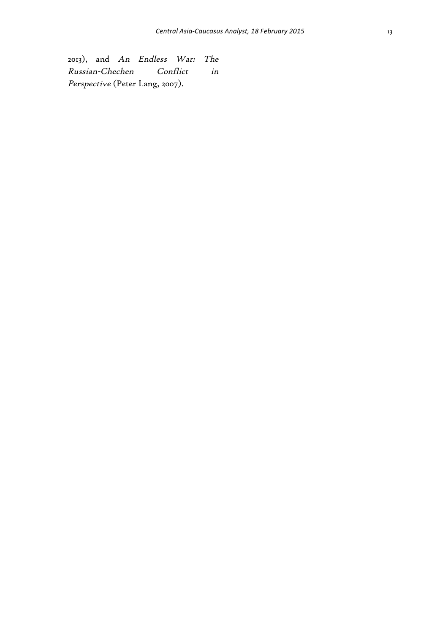2013), and An Endless War: The Russian-Chechen Conflict in Perspective (Peter Lang, 2007).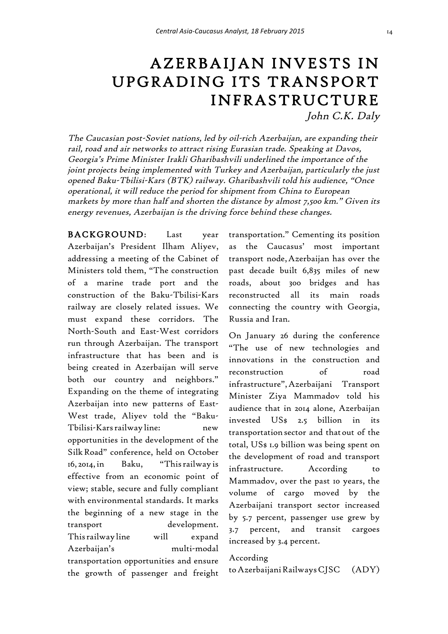# AZERBAIJAN INVESTS IN UPGRADING ITS TRANSPORT INFRASTRUCTURE John C.K. Daly

The Caucasian post-Soviet nations, led by oil-rich Azerbaijan, are expanding their rail, road and air networks to attract rising Eurasian trade. Speaking at Davos, Georgia's Prime Minister Irakli Gharibashvili underlined the importance of the joint projects being implemented with Turkey and Azerbaijan, particularly the just opened Baku-Tbilisi-Kars (BTK) railway. Gharibashvili told his audience, "Once operational, it will reduce the period for shipment from China to European markets by more than half and shorten the distance by almost 7,500 km." Given its energy revenues, Azerbaijan is the driving force behind these changes.

BACKGROUND: Last year Azerbaijan's President Ilham Aliyev, addressing a meeting of the Cabinet of Ministers told them, "The construction of a marine trade port and the construction of the Baku-Tbilisi-Kars railway are closely related issues. We must expand these corridors. The North-South and East-West corridors run through Azerbaijan. The transport infrastructure that has been and is being created in Azerbaijan will serve both our country and neighbors." Expanding on the theme of integrating Azerbaijan into new patterns of East-West trade, Aliyev told the "Baku-Tbilisi-Karsrailwayline: new opportunities in the development of the SilkRoad" conference, held on October 16, 2014,in Baku, "Thisrailwayis effective from an economic point of view; stable, secure and fully compliant with environmental standards. It marks the beginning of a new stage in the transport development. Thisrailwayline will expand Azerbaijan's multi-modal transportation opportunities and ensure the growth of passenger and freight

transportation." Cementing its position as the Caucasus' most important transport node,Azerbaijan has over the past decade built 6,835 miles of new roads, about 300 bridges and has reconstructed all its main roads connecting the country with Georgia, Russia and Iran.

On January 26 during the conference "The use of new technologies and innovations in the construction and reconstruction of road infrastructure",Azerbaijani Transport Minister Ziya Mammadov told his audience that in 2014 alone, Azerbaijan invested US\$ 2.5 billion in its transportationsector and thatout of the total, US\$ 1.9 billion was being spent on the development of road and transport infrastructure. According to Mammadov, over the past 10 years, the volume of cargo moved by the Azerbaijani transport sector increased by 5.7 percent, passenger use grew by 3.7 percent, and transit cargoes increased by 3.4 percent.

### According

toAzerbaijaniRailwaysCJSC (ADY)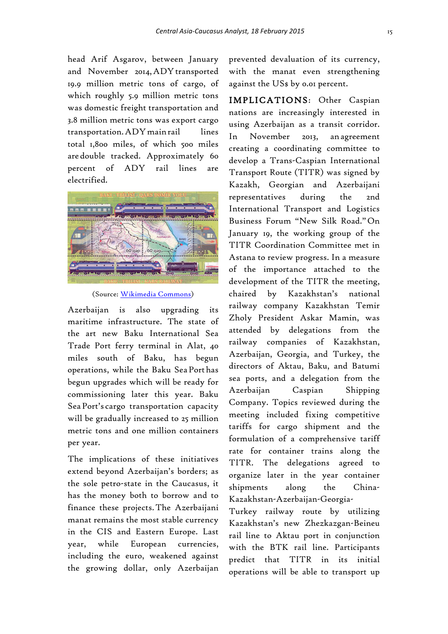head Arif Asgarov, between January and November 2014, ADY transported 19.9 million metric tons of cargo, of which roughly 5.9 million metric tons was domestic freight transportation and 3.8 million metric tons was export cargo transportation. ADY main rail lines total 1,800 miles, of which 500 miles aredouble tracked. Approximately 60 percent of ADY rail lines are electrified.



(Source: Wikimedia Commons)

Azerbaijan is also upgrading its maritime infrastructure. The state of the art new Baku International Sea Trade Port ferry terminal in Alat, 40 miles south of Baku, has begun operations, while the Baku SeaPorthas begun upgrades which will be ready for commissioning later this year. Baku SeaPort's cargo transportation capacity will be gradually increased to 25 million metric tons and one million containers per year.

The implications of these initiatives extend beyond Azerbaijan's borders; as the sole petro-state in the Caucasus, it has the money both to borrow and to finance these projects.The Azerbaijani manat remains the most stable currency in the CIS and Eastern Europe. Last year, while European currencies, including the euro, weakened against the growing dollar, only Azerbaijan

prevented devaluation of its currency, with the manat even strengthening against the US\$ by 0.01 percent.

IMPLICATIONS: Other Caspian nations are increasingly interested in using Azerbaijan as a transit corridor. In November 2013, anagreement creating a coordinating committee to develop a Trans-Caspian International Transport Route (TITR) was signed by Kazakh, Georgian and Azerbaijani representatives during the 2nd International Transport and Logistics Business Forum "New Silk Road."On January 19, the working group of the TITR Coordination Committee met in Astana to review progress. In a measure of the importance attached to the development of the TITR the meeting, chaired by Kazakhstan's national railway company Kazakhstan Temir Zholy President Askar Mamin, was attended by delegations from the railway companies of Kazakhstan, Azerbaijan, Georgia, and Turkey, the directors of Aktau, Baku, and Batumi sea ports, and a delegation from the Azerbaijan Caspian Shipping Company. Topics reviewed during the meeting included fixing competitive tariffs for cargo shipment and the formulation of a comprehensive tariff rate for container trains along the TITR. The delegations agreed to organize later in the year container shipments along the China-Kazakhstan-Azerbaijan-Georgia-

Turkey railway route by utilizing Kazakhstan's new Zhezkazgan-Beineu rail line to Aktau port in conjunction with the BTK rail line. Participants predict that TITR in its initial operations will be able to transport up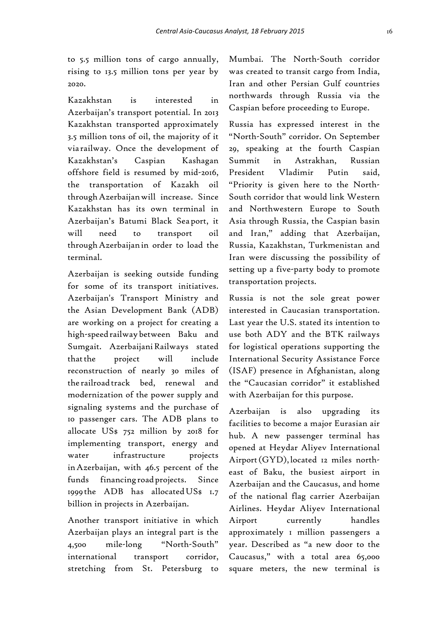to 5.5 million tons of cargo annually, rising to 13.5 million tons per year by 2020.

Kazakhstan is interested in Azerbaijan's transport potential. In 2013 Kazakhstan transported approximately 3.5 million tons of oil, the majority of it via railway. Once the development of Kazakhstan's Caspian Kashagan offshore field is resumed by mid-2016, the transportation of Kazakh oil throughAzerbaijanwill increase. Since Kazakhstan has its own terminal in Azerbaijan's Batumi Black Seaport, it will need to transport oil throughAzerbaijanin order to load the terminal.

Azerbaijan is seeking outside funding for some of its transport initiatives. Azerbaijan's Transport Ministry and the Asian Development Bank (ADB) are working on a project for creating a high-speedrailwaybetween Baku and Sumgait. AzerbaijaniRailways stated thatthe project will include reconstruction of nearly 30 miles of the railroadtrack bed, renewal and modernization of the power supply and signaling systems and the purchase of 10 passenger cars. The ADB plans to allocate US\$ 752 million by 2018 for implementing transport, energy and water infrastructure projects inAzerbaijan, with 46.5 percent of the funds financing roadprojects. Since 1999 the  $ADB$  has allocated US\$ 1.7 billion in projects in Azerbaijan.

Another transport initiative in which Azerbaijan plays an integral part is the 4,500 mile-long "North-South" international transport corridor, stretching from St. Petersburg to

Mumbai. The North-South corridor was created to transit cargo from India, Iran and other Persian Gulf countries northwards through Russia via the Caspian before proceeding to Europe.

Russia has expressed interest in the "North-South" corridor. On September 29, speaking at the fourth Caspian Summit in Astrakhan, Russian President Vladimir Putin said, "Priority is given here to the North-South corridor that would link Western and Northwestern Europe to South Asia through Russia, the Caspian basin and Iran," adding that Azerbaijan, Russia, Kazakhstan, Turkmenistan and Iran were discussing the possibility of setting up a five-party body to promote transportation projects.

Russia is not the sole great power interested in Caucasian transportation. Last year the U.S. stated its intention to use both ADY and the BTK railways for logistical operations supporting the International Security Assistance Force (ISAF) presence in Afghanistan, along the "Caucasian corridor" it established with Azerbaijan for this purpose.

Azerbaijan is also upgrading its facilities to become a major Eurasian air hub. A new passenger terminal has opened at Heydar Aliyev International Airport(GYD),located 12 miles northeast of Baku, the busiest airport in Azerbaijan and the Caucasus, and home of the national flag carrier Azerbaijan Airlines. Heydar Aliyev International Airport currently handles approximately 1 million passengers a year. Described as "a new door to the Caucasus," with a total area 65,000 square meters, the new terminal is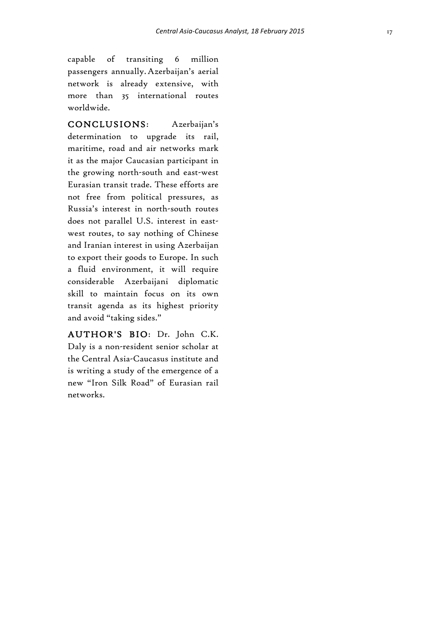capable of transiting 6 million passengers annually.Azerbaijan's aerial network is already extensive, with more than 35 international routes worldwide.

CONCLUSIONS: Azerbaijan's determination to upgrade its rail, maritime, road and air networks mark it as the major Caucasian participant in the growing north-south and east-west Eurasian transit trade. These efforts are not free from political pressures, as Russia's interest in north-south routes does not parallel U.S. interest in eastwest routes, to say nothing of Chinese and Iranian interest in using Azerbaijan to export their goods to Europe. In such a fluid environment, it will require considerable Azerbaijani diplomatic skill to maintain focus on its own transit agenda as its highest priority and avoid "taking sides."

AUTHOR'S BIO: Dr. John C.K. Daly is a non-resident senior scholar at the Central Asia-Caucasus institute and is writing a study of the emergence of a new "Iron Silk Road" of Eurasian rail networks.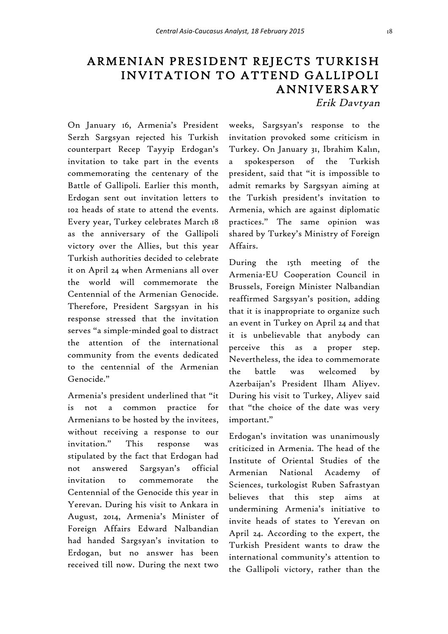### ARMENIAN PRESIDENT REJECTS TURKISH INVITATION TO ATTEND GALLIPOLI ANNIVERSARY Erik Davtyan

On January 16, Armenia's President Serzh Sargsyan rejected his Turkish counterpart Recep Tayyip Erdogan's invitation to take part in the events commemorating the centenary of the Battle of Gallipoli. Earlier this month, Erdogan sent out invitation letters to 102 heads of state to attend the events. Every year, Turkey celebrates March 18 as the anniversary of the Gallipoli victory over the Allies, but this year Turkish authorities decided to celebrate it on April 24 when Armenians all over the world will commemorate the Centennial of the Armenian Genocide. Therefore, President Sargsyan in his response stressed that the invitation serves "a simple-minded goal to distract the attention of the international community from the events dedicated to the centennial of the Armenian Genocide<sup>"</sup>

Armenia's president underlined that "it is not a common practice for Armenians to be hosted by the invitees, without receiving a response to our invitation." This response was stipulated by the fact that Erdogan had not answered Sargsyan's official invitation to commemorate the Centennial of the Genocide this year in Yerevan. During his visit to Ankara in August, 2014, Armenia's Minister of Foreign Affairs Edward Nalbandian had handed Sargsyan's invitation to Erdogan, but no answer has been received till now. During the next two

weeks, Sargsyan's response to the invitation provoked some criticism in Turkey. On January 31, Ibrahim Kalın, a spokesperson of the Turkish president, said that "it is impossible to admit remarks by Sargsyan aiming at the Turkish president's invitation to Armenia, which are against diplomatic practices." The same opinion was shared by Turkey's Ministry of Foreign Affairs.

During the 15th meeting of the Armenia-EU Cooperation Council in Brussels, Foreign Minister Nalbandian reaffirmed Sargsyan's position, adding that it is inappropriate to organize such an event in Turkey on April 24 and that it is unbelievable that anybody can perceive this as a proper step. Nevertheless, the idea to commemorate the battle was welcomed by Azerbaijan's President Ilham Aliyev. During his visit to Turkey, Aliyev said that "the choice of the date was very important."

Erdogan's invitation was unanimously criticized in Armenia. The head of the Institute of Oriental Studies of the Armenian National Academy of Sciences, turkologist Ruben Safrastyan believes that this step aims at undermining Armenia's initiative to invite heads of states to Yerevan on April 24. According to the expert, the Turkish President wants to draw the international community's attention to the Gallipoli victory, rather than the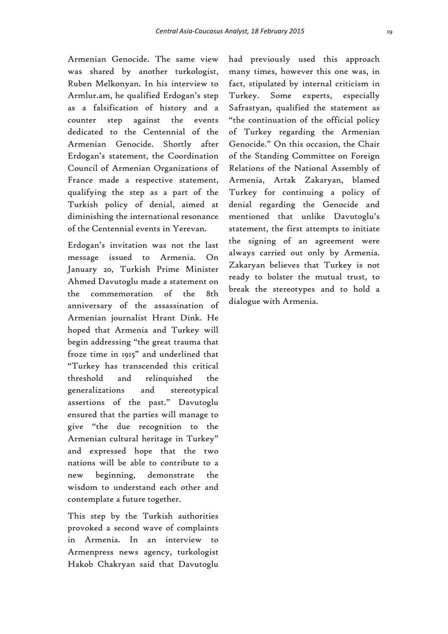Armenian Genocide. The same view was shared by another turkologist, Ruben Melkonyan. In his interview to Armlur.am, he qualified Erdogan's step as a falsification of history and a counter step against the events dedicated to the Centennial of the Armenian Genocide. Shortly after Erdogan's statement, the Coordination Council of Armenian Organizations of France made a respective statement, qualifying the step as a part of the Turkish policy of denial, aimed at diminishing the international resonance of the Centennial events in Yerevan.

Erdogan's invitation was not the last message issued to Armenia. On January 20, Turkish Prime Minister Ahmed Davutoglu made a statement on the commemoration of the 8th anniversary of the assassination of Armenian journalist Hrant Dink. He hoped that Armenia and Turkey will begin addressing "the great trauma that froze time in 1915" and underlined that "Turkey has transcended this critical threshold and relinquished the generalizations and stereotypical assertions of the past." Davutoglu ensured that the parties will manage to give "the due recognition to the Armenian cultural heritage in Turkey" and expressed hope that the two nations will be able to contribute to a new beginning, demonstrate the wisdom to understand each other and contemplate a future together.

This step by the Turkish authorities provoked a second wave of complaints in Armenia. In an interview to Armenpress news agency, turkologist Hakob Chakryan said that Davutoglu had previously used this approach many times, however this one was, in fact, stipulated by internal criticism in Turkey. Some experts, especially Safrastyan, qualified the statement as "the continuation of the official policy of Turkey regarding the Armenian Genocide." On this occasion, the Chair of the Standing Committee on Foreign Relations of the National Assembly of Armenia, Artak Zakaryan, blamed Turkey for continuing a policy of denial regarding the Genocide and mentioned that unlike Davutoglu's statement, the first attempts to initiate the signing of an agreement were always carried out only by Armenia. Zakaryan believes that Turkey is not ready to bolster the mutual trust, to break the stereotypes and to hold a dialogue with Armenia.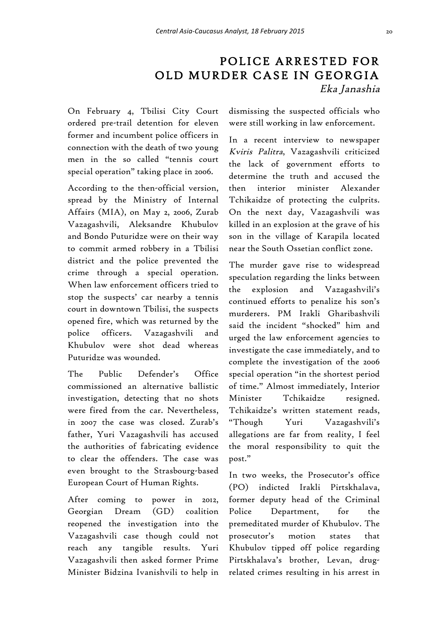### POLICE ARRESTED FOR OLD MURDER CASE IN GEORGIA Eka Janashia

On February 4, Tbilisi City Court ordered pre-trail detention for eleven former and incumbent police officers in connection with the death of two young men in the so called "tennis court special operation" taking place in 2006.

According to the then-official version, spread by the Ministry of Internal Affairs (MIA), on May 2, 2006, Zurab Vazagashvili, Aleksandre Khubulov and Bondo Puturidze were on their way to commit armed robbery in a Tbilisi district and the police prevented the crime through a special operation. When law enforcement officers tried to stop the suspects' car nearby a tennis court in downtown Tbilisi, the suspects opened fire, which was returned by the police officers. Vazagashvili and Khubulov were shot dead whereas Puturidze was wounded.

The Public Defender's Office commissioned an alternative ballistic investigation, detecting that no shots were fired from the car. Nevertheless, in 2007 the case was closed. Zurab's father, Yuri Vazagashvili has accused the authorities of fabricating evidence to clear the offenders. The case was even brought to the Strasbourg-based European Court of Human Rights.

After coming to power in 2012, Georgian Dream (GD) coalition reopened the investigation into the Vazagashvili case though could not reach any tangible results. Yuri Vazagashvili then asked former Prime Minister Bidzina Ivanishvili to help in

dismissing the suspected officials who were still working in law enforcement.

In a recent interview to newspaper Kviris Palitra, Vazagashvili criticized the lack of government efforts to determine the truth and accused the then interior minister Alexander Tchikaidze of protecting the culprits. On the next day, Vazagashvili was killed in an explosion at the grave of his son in the village of Karapila located near the South Ossetian conflict zone.

The murder gave rise to widespread speculation regarding the links between the explosion and Vazagashvili's continued efforts to penalize his son's murderers. PM Irakli Gharibashvili said the incident "shocked" him and urged the law enforcement agencies to investigate the case immediately, and to complete the investigation of the 2006 special operation "in the shortest period of time." Almost immediately, Interior Minister Tchikaidze resigned. Tchikaidze's written statement reads, "Though Yuri Vazagashvili's allegations are far from reality, I feel the moral responsibility to quit the post."

In two weeks, the Prosecutor's office (PO) indicted Irakli Pirtskhalava, former deputy head of the Criminal Police Department, for the premeditated murder of Khubulov. The prosecutor's motion states that Khubulov tipped off police regarding Pirtskhalava's brother, Levan, drugrelated crimes resulting in his arrest in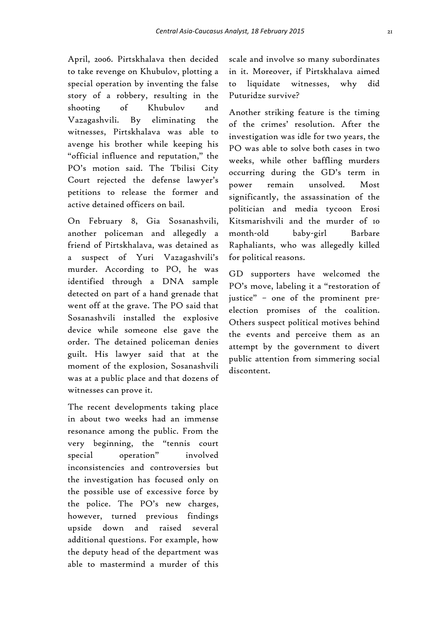April, 2006. Pirtskhalava then decided to take revenge on Khubulov, plotting a special operation by inventing the false story of a robbery, resulting in the shooting of Khubulov and Vazagashvili. By eliminating the witnesses, Pirtskhalava was able to avenge his brother while keeping his "official influence and reputation," the PO's motion said. The Tbilisi City Court rejected the defense lawyer's petitions to release the former and active detained officers on bail.

On February 8, Gia Sosanashvili, another policeman and allegedly a friend of Pirtskhalava, was detained as a suspect of Yuri Vazagashvili's murder. According to PO, he was identified through a DNA sample detected on part of a hand grenade that went off at the grave. The PO said that Sosanashvili installed the explosive device while someone else gave the order. The detained policeman denies guilt. His lawyer said that at the moment of the explosion, Sosanashvili was at a public place and that dozens of witnesses can prove it.

The recent developments taking place in about two weeks had an immense resonance among the public. From the very beginning, the "tennis court special operation" involved inconsistencies and controversies but the investigation has focused only on the possible use of excessive force by the police. The PO's new charges, however, turned previous findings upside down and raised several additional questions. For example, how the deputy head of the department was able to mastermind a murder of this

scale and involve so many subordinates in it. Moreover, if Pirtskhalava aimed to liquidate witnesses, why did Puturidze survive?

Another striking feature is the timing of the crimes' resolution. After the investigation was idle for two years, the PO was able to solve both cases in two weeks, while other baffling murders occurring during the GD's term in power remain unsolved. Most significantly, the assassination of the politician and media tycoon Erosi Kitsmarishvili and the murder of 10 month-old baby-girl Barbare Raphaliants, who was allegedly killed for political reasons.

GD supporters have welcomed the PO's move, labeling it a "restoration of justice" – one of the prominent preelection promises of the coalition. Others suspect political motives behind the events and perceive them as an attempt by the government to divert public attention from simmering social discontent.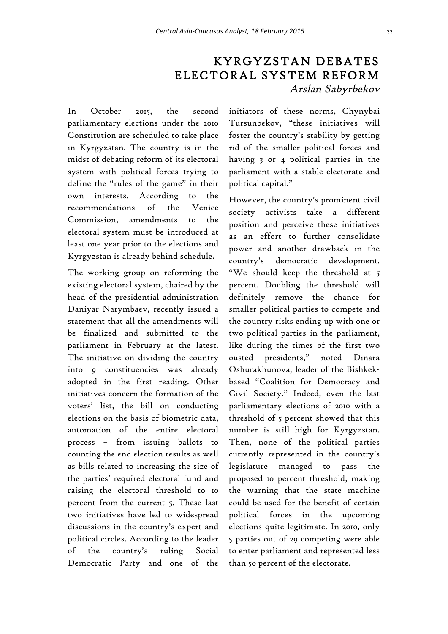### KYRGYZSTAN DEBATES ELECTORAL SYSTEM REFORM Arslan Sabyrbekov

In October 2015, the second parliamentary elections under the 2010 Constitution are scheduled to take place in Kyrgyzstan. The country is in the midst of debating reform of its electoral system with political forces trying to define the "rules of the game" in their own interests. According to the recommendations of the Venice Commission, amendments to the electoral system must be introduced at least one year prior to the elections and Kyrgyzstan is already behind schedule.

The working group on reforming the existing electoral system, chaired by the head of the presidential administration Daniyar Narymbaev, recently issued a statement that all the amendments will be finalized and submitted to the parliament in February at the latest. The initiative on dividing the country into 9 constituencies was already adopted in the first reading. Other initiatives concern the formation of the voters' list, the bill on conducting elections on the basis of biometric data, automation of the entire electoral process – from issuing ballots to counting the end election results as well as bills related to increasing the size of the parties' required electoral fund and raising the electoral threshold to 10 percent from the current 5. These last two initiatives have led to widespread discussions in the country's expert and political circles. According to the leader of the country's ruling Social Democratic Party and one of the initiators of these norms, Chynybai Tursunbekov, "these initiatives will foster the country's stability by getting rid of the smaller political forces and having 3 or 4 political parties in the parliament with a stable electorate and political capital."

However, the country's prominent civil society activists take a different position and perceive these initiatives as an effort to further consolidate power and another drawback in the country's democratic development. "We should keep the threshold at 5 percent. Doubling the threshold will definitely remove the chance for smaller political parties to compete and the country risks ending up with one or two political parties in the parliament, like during the times of the first two ousted presidents," noted Dinara Oshurakhunova, leader of the Bishkekbased "Coalition for Democracy and Civil Society." Indeed, even the last parliamentary elections of 2010 with a threshold of 5 percent showed that this number is still high for Kyrgyzstan. Then, none of the political parties currently represented in the country's legislature managed to pass the proposed 10 percent threshold, making the warning that the state machine could be used for the benefit of certain political forces in the upcoming elections quite legitimate. In 2010, only 5 parties out of 29 competing were able to enter parliament and represented less than 50 percent of the electorate.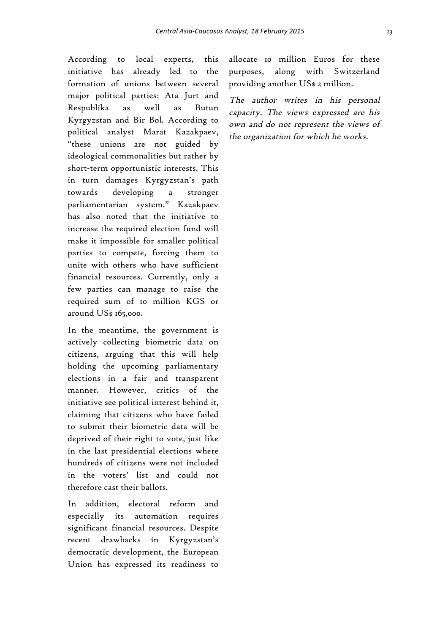According to local experts, this initiative has already led to the formation of unions between several major political parties: Ata Jurt and Respublika as well as Butun Kyrgyzstan and Bir Bol. According to political analyst Marat Kazakpaev, "these unions are not guided by ideological commonalities but rather by short-term opportunistic interests. This in turn damages Kyrgyzstan's path towards developing a stronger parliamentarian system." Kazakpaev has also noted that the initiative to increase the required election fund will make it impossible for smaller political parties to compete, forcing them to unite with others who have sufficient financial resources. Currently, only a few parties can manage to raise the required sum of 10 million KGS or around US\$ 165,000.

In the meantime, the government is actively collecting biometric data on citizens, arguing that this will help holding the upcoming parliamentary elections in a fair and transparent manner. However, critics of the initiative see political interest behind it, claiming that citizens who have failed to submit their biometric data will be deprived of their right to vote, just like in the last presidential elections where hundreds of citizens were not included in the voters' list and could not therefore cast their ballots.

In addition, electoral reform and especially its automation requires significant financial resources. Despite recent drawbacks in Kyrgyzstan's democratic development, the European Union has expressed its readiness to allocate 10 million Euros for these purposes, along with Switzerland providing another US\$ 2 million.

The author writes in his personal capacity. The views expressed are his own and do not represent the views of the organization for which he works.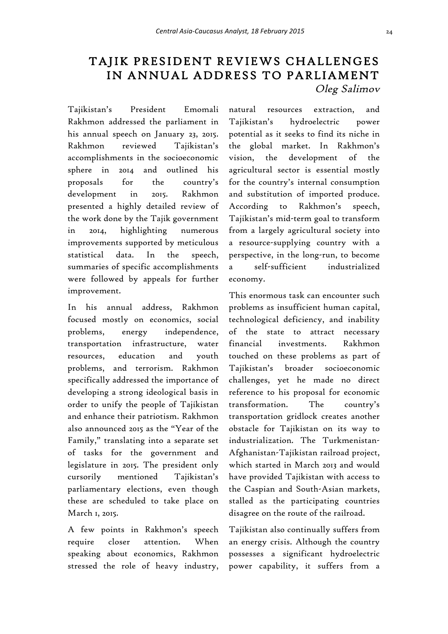### TAJIK PRESIDENT REVIEWS CHALLENGES IN ANNUAL ADDRESS TO PARLIAMENT Oleg Salimov

Tajikistan's President Emomali Rakhmon addressed the parliament in his annual speech on January 23, 2015. Rakhmon reviewed Tajikistan's accomplishments in the socioeconomic sphere in 2014 and outlined his proposals for the country's development in 2015. Rakhmon presented a highly detailed review of the work done by the Tajik government in 2014, highlighting numerous improvements supported by meticulous statistical data. In the speech, summaries of specific accomplishments were followed by appeals for further improvement.

In his annual address, Rakhmon focused mostly on economics, social problems, energy independence, transportation infrastructure, water resources, education and youth problems, and terrorism. Rakhmon specifically addressed the importance of developing a strong ideological basis in order to unify the people of Tajikistan and enhance their patriotism. Rakhmon also announced 2015 as the "Year of the Family," translating into a separate set of tasks for the government and legislature in 2015. The president only cursorily mentioned Tajikistan's parliamentary elections, even though these are scheduled to take place on March 1, 2015.

A few points in Rakhmon's speech require closer attention. When speaking about economics, Rakhmon stressed the role of heavy industry, natural resources extraction, and Tajikistan's hydroelectric power potential as it seeks to find its niche in the global market. In Rakhmon's vision, the development of the agricultural sector is essential mostly for the country's internal consumption and substitution of imported produce. According to Rakhmon's speech, Tajikistan's mid-term goal to transform from a largely agricultural society into a resource-supplying country with a perspective, in the long-run, to become a self-sufficient industrialized economy.

This enormous task can encounter such problems as insufficient human capital, technological deficiency, and inability of the state to attract necessary financial investments. Rakhmon touched on these problems as part of Tajikistan's broader socioeconomic challenges, yet he made no direct reference to his proposal for economic transformation. The country's transportation gridlock creates another obstacle for Tajikistan on its way to industrialization. The Turkmenistan-Afghanistan-Tajikistan railroad project, which started in March 2013 and would have provided Tajikistan with access to the Caspian and South-Asian markets, stalled as the participating countries disagree on the route of the railroad.

Tajikistan also continually suffers from an energy crisis. Although the country possesses a significant hydroelectric power capability, it suffers from a